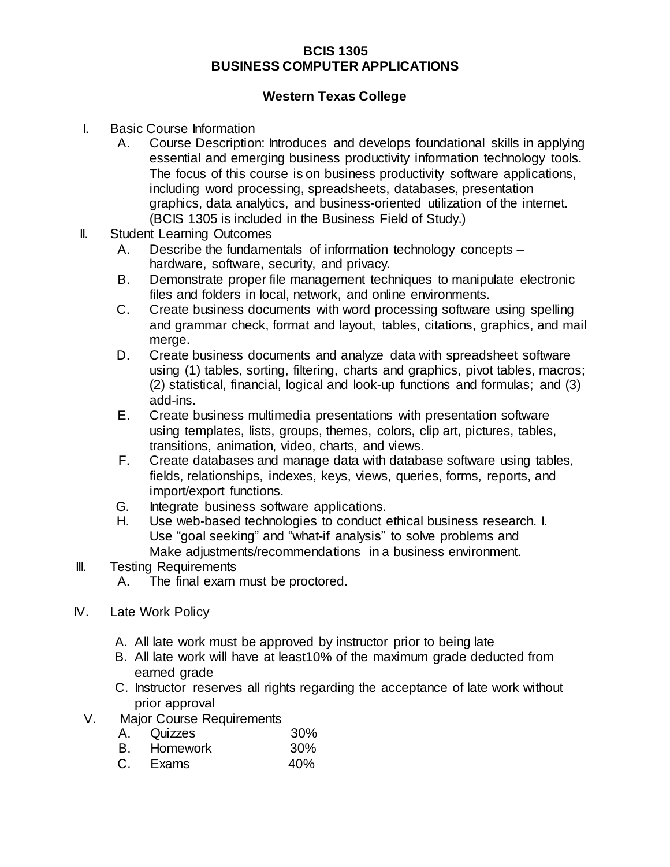## **BCIS 1305 BUSINESS COMPUTER APPLICATIONS**

## **Western Texas College**

- I. Basic Course Information
	- A. Course Description: Introduces and develops foundational skills in applying essential and emerging business productivity information technology tools. The focus of this course is on business productivity software applications, including word processing, spreadsheets, databases, presentation graphics, data analytics, and business-oriented utilization of the internet. (BCIS 1305 is included in the Business Field of Study.)
- II. Student Learning Outcomes
	- A. Describe the fundamentals of information technology concepts hardware, software, security, and privacy.
	- B. Demonstrate proper file management techniques to manipulate electronic files and folders in local, network, and online environments.
	- C. Create business documents with word processing software using spelling and grammar check, format and layout, tables, citations, graphics, and mail merge.
	- D. Create business documents and analyze data with spreadsheet software using (1) tables, sorting, filtering, charts and graphics, pivot tables, macros; (2) statistical, financial, logical and look-up functions and formulas; and (3) add-ins.
	- E. Create business multimedia presentations with presentation software using templates, lists, groups, themes, colors, clip art, pictures, tables, transitions, animation, video, charts, and views.
	- F. Create databases and manage data with database software using tables, fields, relationships, indexes, keys, views, queries, forms, reports, and import/export functions.
	- G. Integrate business software applications.
	- H. Use web-based technologies to conduct ethical business research. I. Use "goal seeking" and "what-if analysis" to solve problems and Make adjustments/recommendations in a business environment.
- III. Testing Requirements
	- A. The final exam must be proctored.
- IV. Late Work Policy
	- A. All late work must be approved by instructor prior to being late
	- B. All late work will have at least10% of the maximum grade deducted from earned grade
	- C. Instructor reserves all rights regarding the acceptance of late work without prior approval
	- V. Major Course Requirements
		- A. Quizzes 30%
		- B. Homework 30%
		- C. Exams 40%